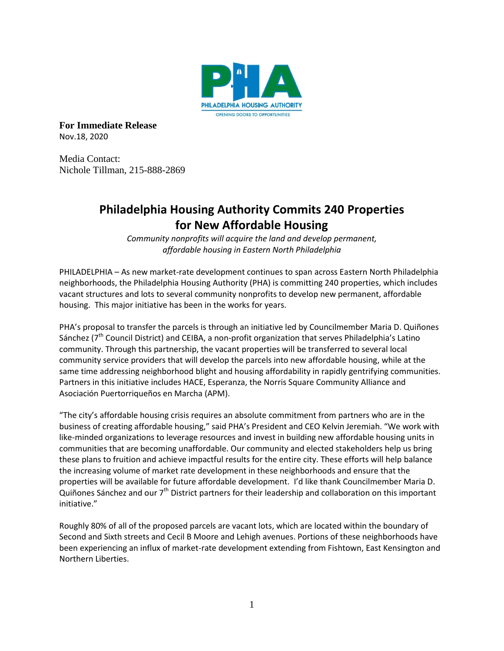

**For Immediate Release** Nov.18, 2020

Media Contact: Nichole Tillman, 215-888-2869

## **Philadelphia Housing Authority Commits 240 Properties for New Affordable Housing**

*Community nonprofits will acquire the land and develop permanent, affordable housing in Eastern North Philadelphia* 

PHILADELPHIA – As new market-rate development continues to span across Eastern North Philadelphia neighborhoods, the Philadelphia Housing Authority (PHA) is committing 240 properties, which includes vacant structures and lots to several community nonprofits to develop new permanent, affordable housing. This major initiative has been in the works for years.

PHA's proposal to transfer the parcels is through an initiative led by Councilmember Maria D. Quiñones Sánchez (7<sup>th</sup> Council District) and CEIBA, a non-profit organization that serves Philadelphia's Latino community. Through this partnership, the vacant properties will be transferred to several local community service providers that will develop the parcels into new affordable housing, while at the same time addressing neighborhood blight and housing affordability in rapidly gentrifying communities. Partners in this initiative includes HACE, Esperanza, the Norris Square Community Alliance and Asociación Puertorriqueños en Marcha (APM).

"The city's affordable housing crisis requires an absolute commitment from partners who are in the business of creating affordable housing," said PHA's President and CEO Kelvin Jeremiah. "We work with like-minded organizations to leverage resources and invest in building new affordable housing units in communities that are becoming unaffordable. Our community and elected stakeholders help us bring these plans to fruition and achieve impactful results for the entire city. These efforts will help balance the increasing volume of market rate development in these neighborhoods and ensure that the properties will be available for future affordable development. I'd like thank Councilmember Maria D. Quiñones Sánchez and our 7<sup>th</sup> District partners for their leadership and collaboration on this important initiative."

Roughly 80% of all of the proposed parcels are vacant lots, which are located within the boundary of Second and Sixth streets and Cecil B Moore and Lehigh avenues. Portions of these neighborhoods have been experiencing an influx of market-rate development extending from Fishtown, East Kensington and Northern Liberties.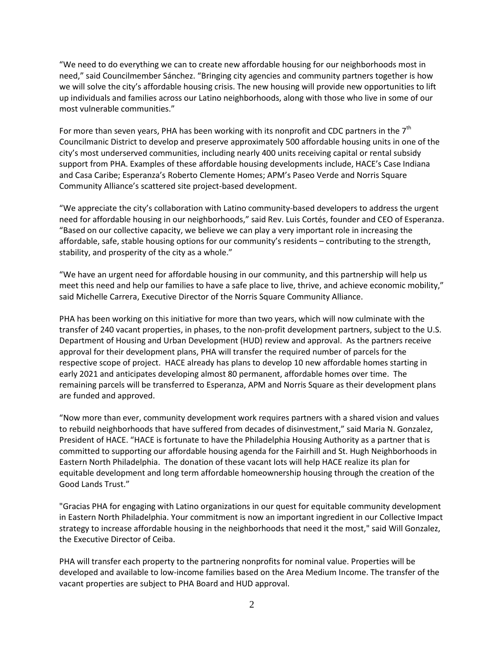"We need to do everything we can to create new affordable housing for our neighborhoods most in need," said Councilmember Sánchez. "Bringing city agencies and community partners together is how we will solve the city's affordable housing crisis. The new housing will provide new opportunities to lift up individuals and families across our Latino neighborhoods, along with those who live in some of our most vulnerable communities."

For more than seven years, PHA has been working with its nonprofit and CDC partners in the  $7<sup>th</sup>$ Councilmanic District to develop and preserve approximately 500 affordable housing units in one of the city's most underserved communities, including nearly 400 units receiving capital or rental subsidy support from PHA. Examples of these affordable housing developments include, HACE's Case Indiana and Casa Caribe; Esperanza's Roberto Clemente Homes; APM's Paseo Verde and Norris Square Community Alliance's scattered site project-based development.

"We appreciate the city's collaboration with Latino community-based developers to address the urgent need for affordable housing in our neighborhoods," said Rev. Luis Cortés, founder and CEO of Esperanza. "Based on our collective capacity, we believe we can play a very important role in increasing the affordable, safe, stable housing options for our community's residents – contributing to the strength, stability, and prosperity of the city as a whole."

"We have an urgent need for affordable housing in our community, and this partnership will help us meet this need and help our families to have a safe place to live, thrive, and achieve economic mobility," said Michelle Carrera, Executive Director of the Norris Square Community Alliance.

PHA has been working on this initiative for more than two years, which will now culminate with the transfer of 240 vacant properties, in phases, to the non-profit development partners, subject to the U.S. Department of Housing and Urban Development (HUD) review and approval. As the partners receive approval for their development plans, PHA will transfer the required number of parcels for the respective scope of project. HACE already has plans to develop 10 new affordable homes starting in early 2021 and anticipates developing almost 80 permanent, affordable homes over time. The remaining parcels will be transferred to Esperanza, APM and Norris Square as their development plans are funded and approved.

"Now more than ever, community development work requires partners with a shared vision and values to rebuild neighborhoods that have suffered from decades of disinvestment," said Maria N. Gonzalez, President of HACE. "HACE is fortunate to have the Philadelphia Housing Authority as a partner that is committed to supporting our affordable housing agenda for the Fairhill and St. Hugh Neighborhoods in Eastern North Philadelphia. The donation of these vacant lots will help HACE realize its plan for equitable development and long term affordable homeownership housing through the creation of the Good Lands Trust."

"Gracias PHA for engaging with Latino organizations in our quest for equitable community development in Eastern North Philadelphia. Your commitment is now an important ingredient in our Collective Impact strategy to increase affordable housing in the neighborhoods that need it the most," said Will Gonzalez, the Executive Director of Ceiba.

PHA will transfer each property to the partnering nonprofits for nominal value. Properties will be developed and available to low-income families based on the Area Medium Income. The transfer of the vacant properties are subject to PHA Board and HUD approval.